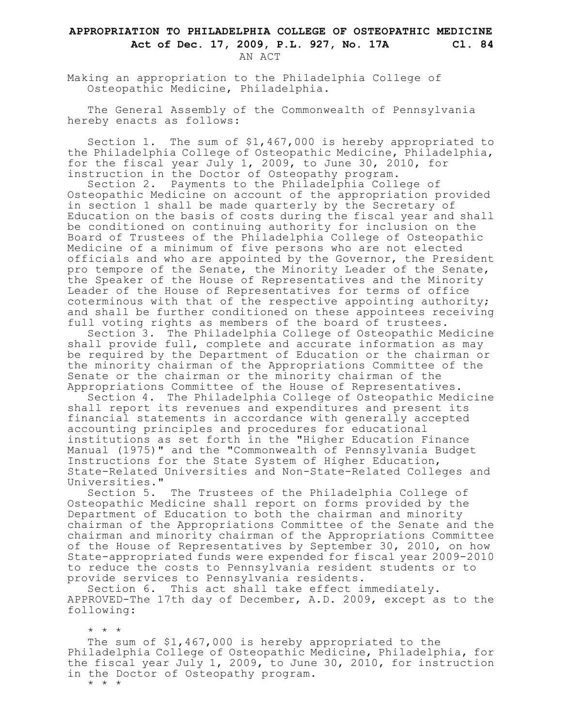## **APPROPRIATION TO PHILADELPHIA COLLEGE OF OSTEOPATHIC MEDICINE Act of Dec. 17, 2009, P.L. 927, No. 17A Cl. 84** AN ACT

Making an appropriation to the Philadelphia College of Osteopathic Medicine, Philadelphia.

The General Assembly of the Commonwealth of Pennsylvania hereby enacts as follows:

Section 1. The sum of \$1,467,000 is hereby appropriated to the Philadelphia College of Osteopathic Medicine, Philadelphia, for the fiscal year July 1, 2009, to June 30, 2010, for instruction in the Doctor of Osteopathy program.

Section 2. Payments to the Philadelphia College of Osteopathic Medicine on account of the appropriation provided in section 1 shall be made quarterly by the Secretary of Education on the basis of costs during the fiscal year and shall be conditioned on continuing authority for inclusion on the Board of Trustees of the Philadelphia College of Osteopathic Medicine of a minimum of five persons who are not elected officials and who are appointed by the Governor, the President pro tempore of the Senate, the Minority Leader of the Senate, the Speaker of the House of Representatives and the Minority Leader of the House of Representatives for terms of office coterminous with that of the respective appointing authority; and shall be further conditioned on these appointees receiving full voting rights as members of the board of trustees.

Section 3. The Philadelphia College of Osteopathic Medicine shall provide full, complete and accurate information as may be required by the Department of Education or the chairman or the minority chairman of the Appropriations Committee of the Senate or the chairman or the minority chairman of the Appropriations Committee of the House of Representatives.

Section 4. The Philadelphia College of Osteopathic Medicine shall report its revenues and expenditures and present its financial statements in accordance with generally accepted accounting principles and procedures for educational institutions as set forth in the "Higher Education Finance Manual (1975)" and the "Commonwealth of Pennsylvania Budget Instructions for the State System of Higher Education, State-Related Universities and Non-State-Related Colleges and Universities."

Section 5. The Trustees of the Philadelphia College of Osteopathic Medicine shall report on forms provided by the Department of Education to both the chairman and minority chairman of the Appropriations Committee of the Senate and the chairman and minority chairman of the Appropriations Committee of the House of Representatives by September 30, 2010, on how State-appropriated funds were expended for fiscal year 2009-2010 to reduce the costs to Pennsylvania resident students or to provide services to Pennsylvania residents.

Section 6. This act shall take effect immediately. APPROVED-The 17th day of December, A.D. 2009, except as to the following:

The sum of \$1,467,000 is hereby appropriated to the Philadelphia College of Osteopathic Medicine, Philadelphia, for the fiscal year July 1, 2009, to June 30, 2010, for instruction in the Doctor of Osteopathy program.

\* \* \*

\* \* \*